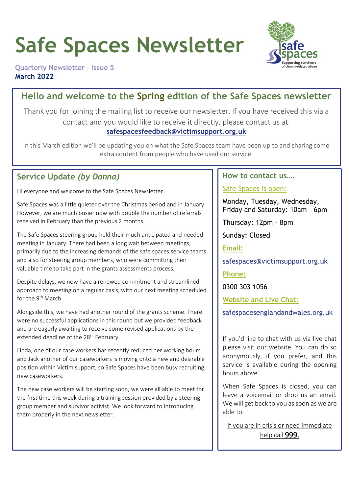# **Safe Spaces Newsletter**



**Quarterly Newsletter – Issue 5 March 2022**

# **Hello and welcome to the Spring edition of the Safe Spaces newsletter**

Thank you for joining the mailing list to receive our newsletter. If you have received this via a contact and you would like to receive it directly, please contact us at: **[safespacesfeedback@victimsupport.org.uk](mailto:safespacesfeedback@victimsupport.org.uk)**

In this March edition we'll be updating you on what the Safe Spaces team have been up to and sharing some extra content from people who have used our service.

# **Service Update** *(by Donna)*

Hi everyone and welcome to the Safe Spaces Newsletter.

Safe Spaces was a little quieter over the Christmas period and in January. However, we are much busier now with double the number of referrals received in February than the previous 2 months.

The Safe Spaces steering group held their much anticipated and needed meeting in January. There had been a long wait between meetings, primarily due to the increasing demands of the safe spaces service teams, and also for steering group members, who were committing their valuable time to take part in the grants assessments process.

Despite delays, we now have a renewed commitment and streamlined approach to meeting on a regular basis, with our next meeting scheduled for the 9<sup>th</sup> March.

Alongside this, we have had another round of the grants scheme. There were no successful applications in this round but we provided feedback and are eagerly awaiting to receive some revised applications by the extended deadline of the 28<sup>th</sup> February.

Linda, one of our case workers has recently reduced her working hours and Jack another of our caseworkers is moving onto a new and desirable position within Victim support, so Safe Spaces have been busy recruiting new caseworkers.

The new case workers will be starting soon, we were all able to meet for the first time this week during a training session provided by a steering group member and survivor activist. We look forward to introducing them properly in the next newsletter.

## **How to contact us….**

## Safe Spaces is open:

Monday, Tuesday, Wednesday, Friday and Saturday: 10am – 6pm

Thursday: 12pm – 8pm

Sunday: Closed

**Email:**

safespaces@victimsupport.org.uk

**Phone:**

0300 303 1056

**Website and Live Chat:**

[safespacesenglandandwales.org.uk](http://www.safespacesenglandandwales.org.uk/)

If you'd like to chat with us via live chat please visit our website. You can do so anonymously, if you prefer, and this service is available during the opening hours above.

When Safe Spaces is closed, you can leave a voicemail or drop us an email. We will get back to you as soon as we are able to.

If you are in crisis or need immediate help call 999.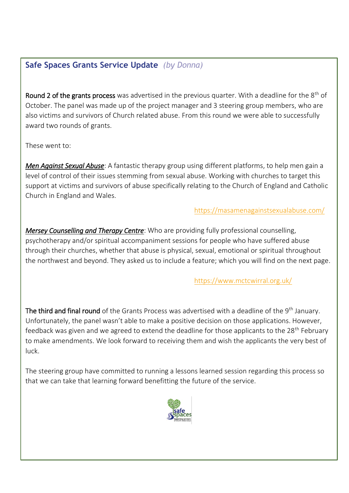# **Safe Spaces Grants Service Update** *(by Donna)*

Round 2 of the grants process was advertised in the previous quarter. With a deadline for the  $8<sup>th</sup>$  of October. The panel was made up of the project manager and 3 steering group members, who are also victims and survivors of Church related abuse. From this round we were able to successfully award two rounds of grants.

These went to:

*Men Against Sexual Abuse*: A fantastic therapy group using different platforms, to help men gain a level of control of their issues stemming from sexual abuse. Working with churches to target this support at victims and survivors of abuse specifically relating to the Church of England and Catholic Church in England and Wales.

# <https://masamenagainstsexualabuse.com/>

*Mersey Counselling and Therapy Centre*: Who are providing fully professional counselling, psychotherapy and/or spiritual accompaniment sessions for people who have suffered abuse through their churches, whether that abuse is physical, sexual, emotional or spiritual throughout the northwest and beyond. They asked us to include a feature; which you will find on the next page.

# <https://www.mctcwirral.org.uk/>

The third and final round of the Grants Process was advertised with a deadline of the 9<sup>th</sup> January. Unfortunately, the panel wasn't able to make a positive decision on those applications. However, feedback was given and we agreed to extend the deadline for those applicants to the 28<sup>th</sup> February to make amendments. We look forward to receiving them and wish the applicants the very best of luck.

The steering group have committed to running a lessons learned session regarding this process so that we can take that learning forward benefitting the future of the service.

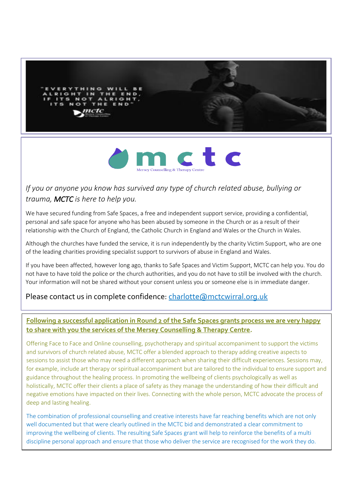



# *If you or anyone you know has survived any type of church related abuse, bullying or trauma, MCTC is here to help you.*

I

We have secured funding from Safe Spaces, a free and independent support service, providing a confidential, personal and safe space for anyone who has been abused by someone in the Church or as a result of their relationship with the Church of England, the Catholic Church in England and Wales or the Church in Wales.

Although the churches have funded the service, it is run independently by the charity Victim Support, who are one of the leading charities providing specialist support to survivors of abuse in England and Wales.

If you have been affected, however long ago, thanks to Safe Spaces and Victim Support, MCTC can help you. You do not have to have told the police or the church authorities, and you do not have to still be involved with the church. Your information will not be shared without your consent unless you or someone else is in immediate danger.

# Please contact us in complete confidence: [charlotte@mctcwirral.org.uk](mailto:charlotte@mctcwirral.org.uk)

## **Following a successful application in Round 2 of the Safe Spaces grants process we are very happy to share with you the services of the Mersey Counselling & Therapy Centre.**

Offering Face to Face and Online counselling, psychotherapy and spiritual accompaniment to support the victims and survivors of church related abuse, MCTC offer a blended approach to therapy adding creative aspects to sessions to assist those who may need a different approach when sharing their difficult experiences. Sessions may, for example, include art therapy or spiritual accompaniment but are tailored to the individual to ensure support and guidance throughout the healing process. In promoting the wellbeing of clients psychologically as well as holistically, MCTC offer their clients a place of safety as they manage the understanding of how their difficult and negative emotions have impacted on their lives. Connecting with the whole person, MCTC advocate the process of deep and lasting healing.

The combination of professional counselling and creative interests have far reaching benefits which are not only well documented but that were clearly outlined in the MCTC bid and demonstrated a clear commitment to improving the wellbeing of clients. The resulting Safe Spaces grant will help to reinforce the benefits of a multi discipline personal approach and ensure that those who deliver the service are recognised for the work they do.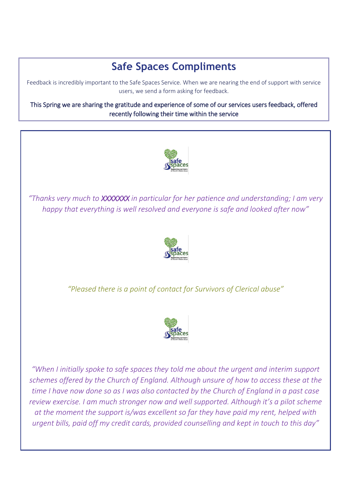# **Safe Spaces Compliments**

Feedback is incredibly important to the Safe Spaces Service. When we are nearing the end of support with service users, we send a form asking for feedback.

This Spring we are sharing the gratitude and experience of some of our services users feedback, offered recently following their time within the service



*"Thanks very much to XXXXXXX in particular for her patience and understanding; I am very happy that everything is well resolved and everyone is safe and looked after now"*



*"Pleased there is a point of contact for Survivors of Clerical abuse"*



*"When I initially spoke to safe spaces they told me about the urgent and interim support schemes offered by the Church of England. Although unsure of how to access these at the time I have now done so as I was also contacted by the Church of England in a past case review exercise. I am much stronger now and well supported. Although it's a pilot scheme at the moment the support is/was excellent so far they have paid my rent, helped with urgent bills, paid off my credit cards, provided counselling and kept in touch to this day"*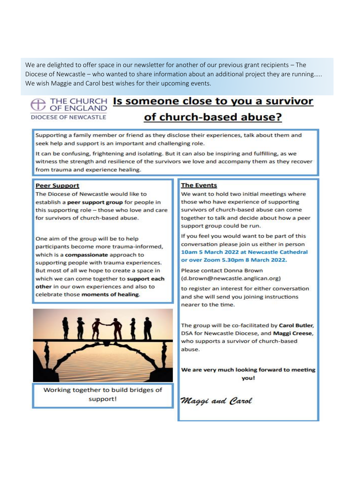We are delighted to offer space in our newsletter for another of our previous grant recipients – The Diocese of Newcastle – who wanted to share information about an additional project they are running….. We wish Maggie and Carol best wishes for their upcoming events.

#### **THE CHURCH Is someone close to you a survivor** / OF ENGLAND DIOCESE OF NEWCASTLE

# of church-based abuse?

Supporting a family member or friend as they disclose their experiences, talk about them and seek help and support is an important and challenging role.

It can be confusing, frightening and isolating. But it can also be inspiring and fulfilling, as we witness the strength and resilience of the survivors we love and accompany them as they recover from trauma and experience healing.

#### **Peer Support**

The Diocese of Newcastle would like to establish a peer support group for people in this supporting role - those who love and care for survivors of church-based abuse.

One aim of the group will be to help participants become more trauma-informed, which is a compassionate approach to supporting people with trauma experiences. But most of all we hope to create a space in which we can come together to support each other in our own experiences and also to celebrate those moments of healing.



Working together to build bridges of support!

#### **The Events**

We want to hold two initial meetings where those who have experience of supporting survivors of church-based abuse can come together to talk and decide about how a peer support group could be run.

If you feel you would want to be part of this conversation please join us either in person 10am 5 March 2022 at Newcastle Cathedral or over Zoom 5.30pm 8 March 2022.

Please contact Donna Brown (d.brown@newcastle.anglican.org)

to register an interest for either conversation and she will send you joining instructions nearer to the time.

The group will be co-facilitated by Carol Butler, DSA for Newcastle Diocese, and Maggi Creese, who supports a survivor of church-based abuse.

We are very much looking forward to meeting you!

Maggi and Carol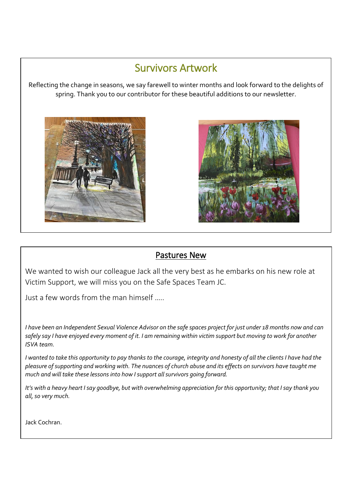# Survivors Artwork

Reflecting the change in seasons, we say farewell to winter months and look forward to the delights of spring. Thank you to our contributor for these beautiful additions to our newsletter.





# Pastures New

We wanted to wish our colleague Jack all the very best as he embarks on his new role at Victim Support, we will miss you on the Safe Spaces Team JC.

Just a few words from the man himself …..

*I have been an Independent Sexual Violence Advisor on the safe spaces project for just under 18 months now and can safely say I have enjoyed every moment of it. I am remaining within victim support but moving to work for another ISVA team.* 

*I wanted to take this opportunity to pay thanks to the courage, integrity and honesty of all the clients I have had the pleasure of supporting and working with. The nuances of church abuse and its effects on survivors have taught me much and will take these lessons into how I support all survivors going forward.* 

*It's with a heavy heart I say goodbye, but with overwhelming appreciation for this opportunity; that I say thank you all, so very much.* 

Jack Cochran.